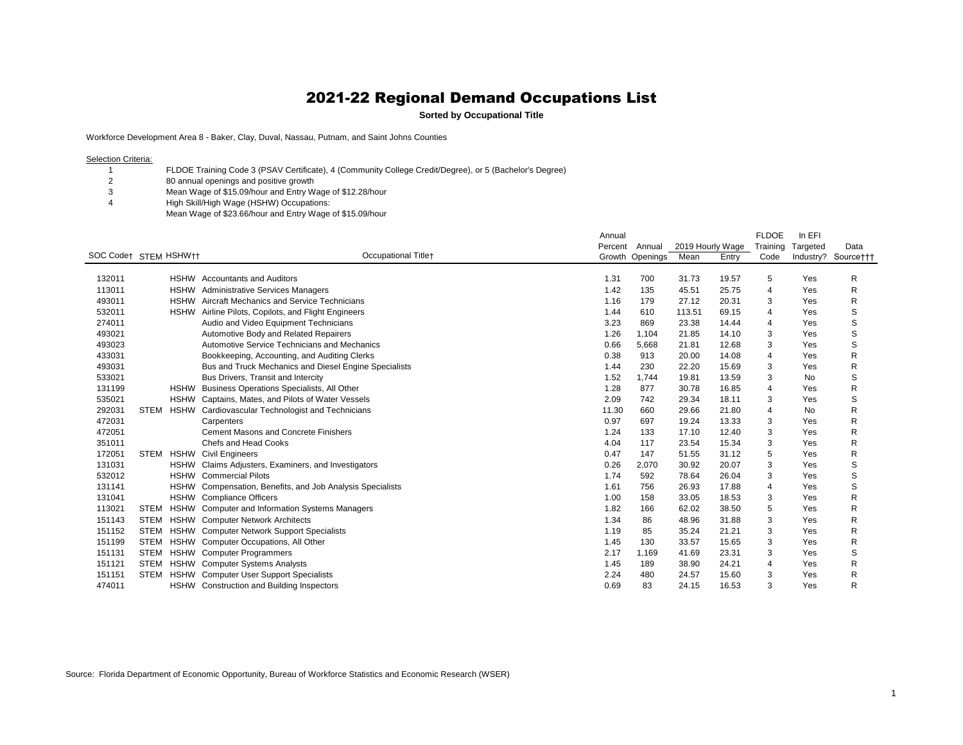**Sorted by Occupational Title**

Workforce Development Area 8 - Baker, Clay, Duval, Nassau, Putnam, and Saint Johns Counties

Selection Criteria:

 FLDOE Training Code 3 (PSAV Certificate), 4 (Community College Credit/Degree), or 5 (Bachelor's Degree)

80 annual openings and positive growth

- Mean Wage of \$15.09/hour and Entry Wage of \$12.28/hour
- High Skill/High Wage (HSHW) Occupations:
	- Mean Wage of \$23.66/hour and Entry Wage of \$15.09/hour

|                       |             |             |                                                           | Annual  |                 |                  |       | <b>FLDOE</b> | In EFI   |                     |
|-----------------------|-------------|-------------|-----------------------------------------------------------|---------|-----------------|------------------|-------|--------------|----------|---------------------|
|                       |             |             |                                                           | Percent | Annual          | 2019 Hourly Wage |       | Training     | Targeted | Data                |
| SOC Code† STEM HSHW†† |             |             | <b>Occupational Titlet</b>                                |         | Growth Openings | Mean             | Entry | Code         |          | Industry? Source††† |
|                       |             |             |                                                           |         |                 |                  |       |              |          |                     |
| 132011                |             |             | HSHW Accountants and Auditors                             | 1.31    | 700             | 31.73            | 19.57 | 5            | Yes      | R                   |
| 113011                |             |             | HSHW Administrative Services Managers                     | 1.42    | 135             | 45.51            | 25.75 | 4            | Yes      | R                   |
| 493011                |             | <b>HSHW</b> | Aircraft Mechanics and Service Technicians                | 1.16    | 179             | 27.12            | 20.31 | 3            | Yes      | R                   |
| 532011                |             |             | HSHW Airline Pilots, Copilots, and Flight Engineers       | 1.44    | 610             | 113.51           | 69.15 | 4            | Yes      | S                   |
| 274011                |             |             | Audio and Video Equipment Technicians                     | 3.23    | 869             | 23.38            | 14.44 | 4            | Yes      | S                   |
| 493021                |             |             | Automotive Body and Related Repairers                     | 1.26    | 1,104           | 21.85            | 14.10 | 3            | Yes      | S                   |
| 493023                |             |             | Automotive Service Technicians and Mechanics              | 0.66    | 5,668           | 21.81            | 12.68 | 3            | Yes      | S                   |
| 433031                |             |             | Bookkeeping, Accounting, and Auditing Clerks              | 0.38    | 913             | 20.00            | 14.08 | 4            | Yes      | R                   |
| 493031                |             |             | Bus and Truck Mechanics and Diesel Engine Specialists     | 1.44    | 230             | 22.20            | 15.69 | 3            | Yes      | R                   |
| 533021                |             |             | Bus Drivers, Transit and Intercity                        | 1.52    | 1,744           | 19.81            | 13.59 | 3            | No       | S                   |
| 131199                |             | <b>HSHW</b> | Business Operations Specialists, All Other                | 1.28    | 877             | 30.78            | 16.85 | 4            | Yes      | R                   |
| 535021                |             | <b>HSHW</b> | Captains, Mates, and Pilots of Water Vessels              | 2.09    | 742             | 29.34            | 18.11 | 3            | Yes      | S                   |
| 292031                | <b>STEM</b> | HSHW        | Cardiovascular Technologist and Technicians               | 11.30   | 660             | 29.66            | 21.80 | 4            | No       | R                   |
| 472031                |             |             | Carpenters                                                | 0.97    | 697             | 19.24            | 13.33 | 3            | Yes      | R                   |
| 472051                |             |             | <b>Cement Masons and Concrete Finishers</b>               | 1.24    | 133             | 17.10            | 12.40 | 3            | Yes      | R                   |
| 351011                |             |             | Chefs and Head Cooks                                      | 4.04    | 117             | 23.54            | 15.34 | 3            | Yes      | R                   |
| 172051                | <b>STEM</b> | <b>HSHW</b> | <b>Civil Engineers</b>                                    | 0.47    | 147             | 51.55            | 31.12 | 5            | Yes      | R                   |
| 131031                |             | <b>HSHW</b> | Claims Adjusters, Examiners, and Investigators            | 0.26    | 2,070           | 30.92            | 20.07 | 3            | Yes      | S                   |
| 532012                |             | <b>HSHW</b> | <b>Commercial Pilots</b>                                  | 1.74    | 592             | 78.64            | 26.04 | 3            | Yes      | S                   |
| 131141                |             |             | HSHW Compensation, Benefits, and Job Analysis Specialists | 1.61    | 756             | 26.93            | 17.88 | 4            | Yes      | S                   |
| 131041                |             |             | HSHW Compliance Officers                                  | 1.00    | 158             | 33.05            | 18.53 | 3            | Yes      | R                   |
| 113021                | <b>STEM</b> | <b>HSHW</b> | <b>Computer and Information Systems Managers</b>          | 1.82    | 166             | 62.02            | 38.50 | 5            | Yes      | R                   |
| 151143                |             |             | STEM HSHW Computer Network Architects                     | 1.34    | 86              | 48.96            | 31.88 | 3            | Yes      | R                   |
| 151152                | <b>STEM</b> | HSHW        | <b>Computer Network Support Specialists</b>               | 1.19    | 85              | 35.24            | 21.21 | 3            | Yes      | R                   |
| 151199                | STEM        |             | HSHW Computer Occupations, All Other                      | 1.45    | 130             | 33.57            | 15.65 | 3            | Yes      | R                   |
| 151131                |             |             | STEM HSHW Computer Programmers                            | 2.17    | 1,169           | 41.69            | 23.31 | 3            | Yes      | S                   |
| 151121                | <b>STEM</b> | <b>HSHW</b> | <b>Computer Systems Analysts</b>                          | 1.45    | 189             | 38.90            | 24.21 | 4            | Yes      | R                   |
| 151151                | <b>STEM</b> | <b>HSHW</b> | <b>Computer User Support Specialists</b>                  | 2.24    | 480             | 24.57            | 15.60 | 3            | Yes      | R                   |
| 474011                |             | <b>HSHW</b> | <b>Construction and Building Inspectors</b>               | 0.69    | 83              | 24.15            | 16.53 | 3            | Yes      | R                   |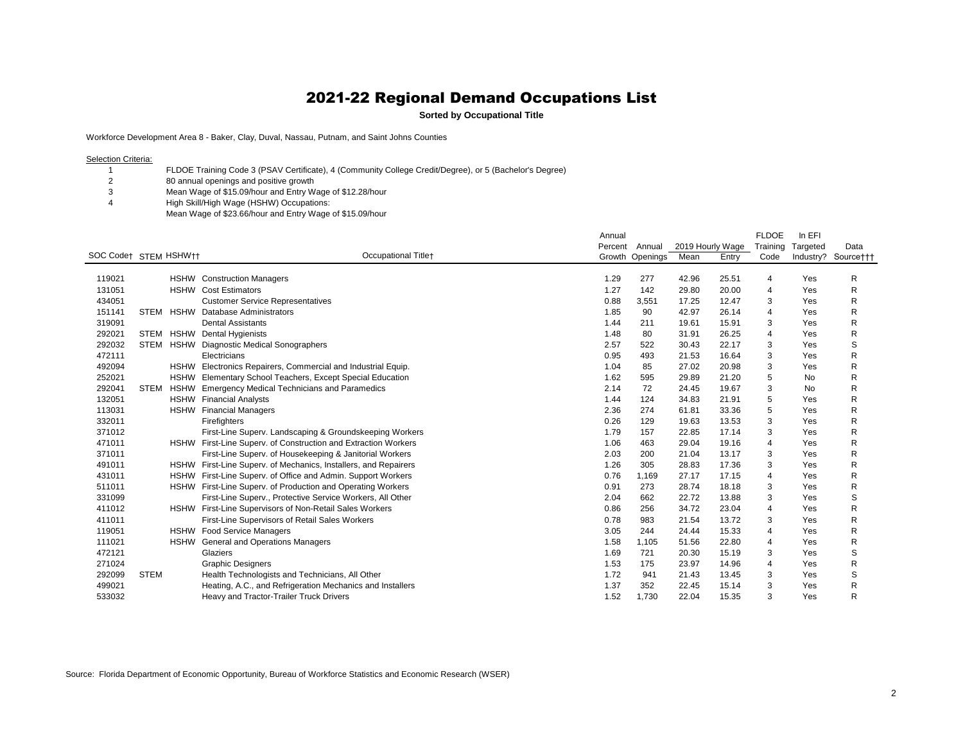**Sorted by Occupational Title**

Workforce Development Area 8 - Baker, Clay, Duval, Nassau, Putnam, and Saint Johns Counties

Selection Criteria:

 FLDOE Training Code 3 (PSAV Certificate), 4 (Community College Credit/Degree), or 5 (Bachelor's Degree)

80 annual openings and positive growth

- Mean Wage of \$15.09/hour and Entry Wage of \$12.28/hour
- High Skill/High Wage (HSHW) Occupations:
	- Mean Wage of \$23.66/hour and Entry Wage of \$15.09/hour

|                       |             |             |                                                                 | Annual  |                 |                  |       | <b>FLDOE</b> | In EFI    |                     |
|-----------------------|-------------|-------------|-----------------------------------------------------------------|---------|-----------------|------------------|-------|--------------|-----------|---------------------|
|                       |             |             |                                                                 | Percent | Annual          | 2019 Hourly Wage |       | Training     | Targeted  | Data                |
| SOC Code† STEM HSHW†† |             |             | <b>Occupational Titlet</b>                                      |         | Growth Openings | Mean             | Entry | Code         |           | Industry? Source††† |
|                       |             |             |                                                                 |         |                 |                  |       |              |           |                     |
| 119021                |             |             | <b>HSHW</b> Construction Managers                               | 1.29    | 277             | 42.96            | 25.51 | 4            | Yes       | R                   |
| 131051                |             |             | <b>HSHW</b> Cost Estimators                                     | 1.27    | 142             | 29.80            | 20.00 | 4            | Yes       | R                   |
| 434051                |             |             | <b>Customer Service Representatives</b>                         | 0.88    | 3,551           | 17.25            | 12.47 | 3            | Yes       | R                   |
| 151141                | <b>STEM</b> | <b>HSHW</b> | Database Administrators                                         | 1.85    | 90              | 42.97            | 26.14 | 4            | Yes       | R                   |
| 319091                |             |             | <b>Dental Assistants</b>                                        | 1.44    | 211             | 19.61            | 15.91 | 3            | Yes       | R                   |
| 292021                | <b>STEM</b> |             | <b>HSHW</b> Dental Hygienists                                   | 1.48    | 80              | 31.91            | 26.25 | 4            | Yes       | R                   |
| 292032                | <b>STEM</b> |             | HSHW Diagnostic Medical Sonographers                            | 2.57    | 522             | 30.43            | 22.17 | 3            | Yes       | S                   |
| 472111                |             |             | Electricians                                                    | 0.95    | 493             | 21.53            | 16.64 | 3            | Yes       | R                   |
| 492094                |             |             | HSHW Electronics Repairers, Commercial and Industrial Equip.    | 1.04    | 85              | 27.02            | 20.98 | 3            | Yes       | R                   |
| 252021                |             |             | HSHW Elementary School Teachers, Except Special Education       | 1.62    | 595             | 29.89            | 21.20 | 5            | <b>No</b> | R                   |
| 292041                | <b>STEM</b> | <b>HSHW</b> | <b>Emergency Medical Technicians and Paramedics</b>             | 2.14    | 72              | 24.45            | 19.67 | 3            | <b>No</b> | R                   |
| 132051                |             |             | <b>HSHW</b> Financial Analysts                                  | 1.44    | 124             | 34.83            | 21.91 | 5            | Yes       | R                   |
| 113031                |             |             | <b>HSHW</b> Financial Managers                                  | 2.36    | 274             | 61.81            | 33.36 | 5            | Yes       | R                   |
| 332011                |             |             | Firefighters                                                    | 0.26    | 129             | 19.63            | 13.53 | 3            | Yes       | R                   |
| 371012                |             |             | First-Line Superv. Landscaping & Groundskeeping Workers         | 1.79    | 157             | 22.85            | 17.14 | 3            | Yes       | R                   |
| 471011                |             |             | HSHW First-Line Superv. of Construction and Extraction Workers  | 1.06    | 463             | 29.04            | 19.16 | 4            | Yes       | R                   |
| 371011                |             |             | First-Line Superv. of Housekeeping & Janitorial Workers         | 2.03    | 200             | 21.04            | 13.17 | 3            | Yes       | R                   |
| 491011                |             |             | HSHW First-Line Superv. of Mechanics, Installers, and Repairers | 1.26    | 305             | 28.83            | 17.36 | 3            | Yes       | R                   |
| 431011                |             |             | HSHW First-Line Superv. of Office and Admin. Support Workers    | 0.76    | 1.169           | 27.17            | 17.15 | 4            | Yes       | R                   |
| 511011                |             |             | HSHW First-Line Superv. of Production and Operating Workers     | 0.91    | 273             | 28.74            | 18.18 | 3            | Yes       | R                   |
| 331099                |             |             | First-Line Superv., Protective Service Workers, All Other       | 2.04    | 662             | 22.72            | 13.88 | 3            | Yes       | S                   |
| 411012                |             |             | HSHW First-Line Supervisors of Non-Retail Sales Workers         | 0.86    | 256             | 34.72            | 23.04 | 4            | Yes       | R                   |
| 411011                |             |             | First-Line Supervisors of Retail Sales Workers                  | 0.78    | 983             | 21.54            | 13.72 | 3            | Yes       | R                   |
| 119051                |             |             | HSHW Food Service Managers                                      | 3.05    | 244             | 24.44            | 15.33 | 4            | Yes       | R                   |
| 111021                |             |             | HSHW General and Operations Managers                            | 1.58    | 1,105           | 51.56            | 22.80 | 4            | Yes       | R                   |
| 472121                |             |             | Glaziers                                                        | 1.69    | 721             | 20.30            | 15.19 | 3            | Yes       | S                   |
| 271024                |             |             | <b>Graphic Designers</b>                                        | 1.53    | 175             | 23.97            | 14.96 | 4            | Yes       | R                   |
| 292099                | <b>STEM</b> |             | Health Technologists and Technicians, All Other                 | 1.72    | 941             | 21.43            | 13.45 | 3            | Yes       | S                   |
| 499021                |             |             | Heating, A.C., and Refrigeration Mechanics and Installers       | 1.37    | 352             | 22.45            | 15.14 | 3            | Yes       | R                   |
| 533032                |             |             | Heavy and Tractor-Trailer Truck Drivers                         | 1.52    | 1.730           | 22.04            | 15.35 | 3            | Yes       | R                   |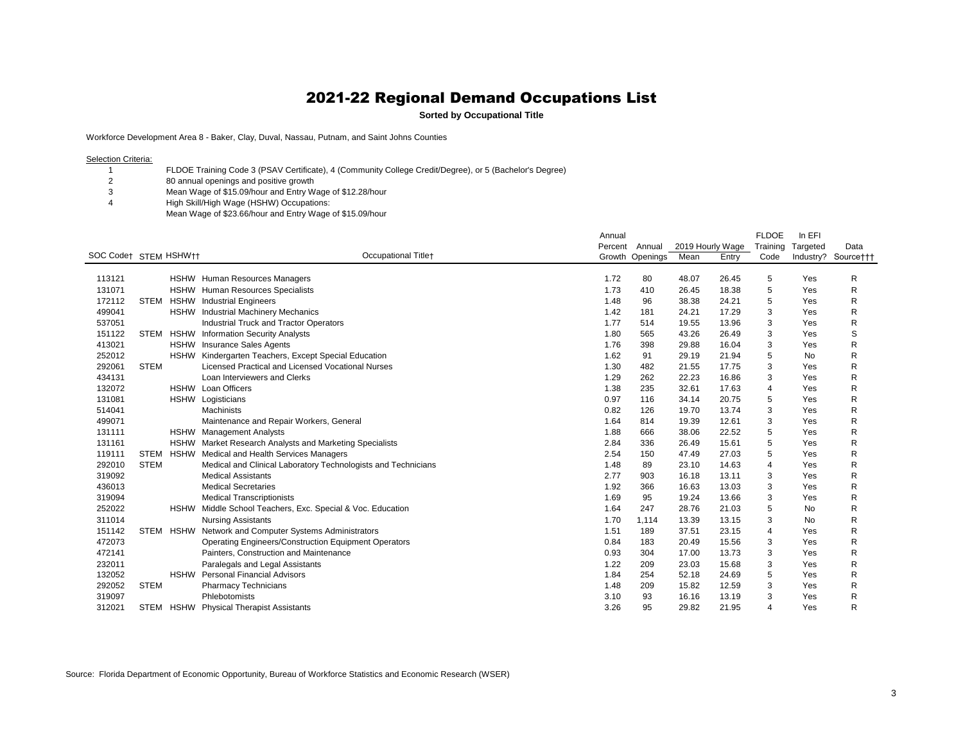**Sorted by Occupational Title**

Workforce Development Area 8 - Baker, Clay, Duval, Nassau, Putnam, and Saint Johns Counties

Selection Criteria:

 FLDOE Training Code 3 (PSAV Certificate), 4 (Community College Credit/Degree), or 5 (Bachelor's Degree)

80 annual openings and positive growth

- Mean Wage of \$15.09/hour and Entry Wage of \$12.28/hour
- High Skill/High Wage (HSHW) Occupations:
	- Mean Wage of \$23.66/hour and Entry Wage of \$15.09/hour

|                       |             |             |                                                               | Annual  |                 |                  |       | <b>FLDOE</b>   | In EFI    |                     |
|-----------------------|-------------|-------------|---------------------------------------------------------------|---------|-----------------|------------------|-------|----------------|-----------|---------------------|
|                       |             |             |                                                               | Percent | Annual          | 2019 Hourly Wage |       | Training       | Targeted  | Data                |
| SOC Code† STEM HSHW†† |             |             | <b>Occupational Titlet</b>                                    |         | Growth Openings | Mean             | Entry | Code           |           | Industry? Source††† |
|                       |             |             |                                                               |         |                 |                  |       |                |           |                     |
| 113121                |             |             | HSHW Human Resources Managers                                 | 1.72    | 80              | 48.07            | 26.45 | 5              | Yes       | R                   |
| 131071                |             |             | HSHW Human Resources Specialists                              | 1.73    | 410             | 26.45            | 18.38 | 5              | Yes       | R                   |
| 172112                | <b>STEM</b> | <b>HSHW</b> | <b>Industrial Engineers</b>                                   | 1.48    | 96              | 38.38            | 24.21 | 5              | Yes       | R                   |
| 499041                |             |             | HSHW Industrial Machinery Mechanics                           | 1.42    | 181             | 24.21            | 17.29 | 3              | Yes       | R                   |
| 537051                |             |             | Industrial Truck and Tractor Operators                        | 1.77    | 514             | 19.55            | 13.96 | 3              | Yes       | R                   |
| 151122                | <b>STEM</b> |             | <b>HSHW</b> Information Security Analysts                     | 1.80    | 565             | 43.26            | 26.49 | 3              | Yes       | S                   |
| 413021                |             |             | HSHW Insurance Sales Agents                                   | 1.76    | 398             | 29.88            | 16.04 | 3              | Yes       | R                   |
| 252012                |             |             | HSHW Kindergarten Teachers, Except Special Education          | 1.62    | 91              | 29.19            | 21.94 | 5              | No        | R                   |
| 292061                | <b>STEM</b> |             | Licensed Practical and Licensed Vocational Nurses             | 1.30    | 482             | 21.55            | 17.75 | 3              | Yes       | R                   |
| 434131                |             |             | Loan Interviewers and Clerks                                  | 1.29    | 262             | 22.23            | 16.86 | 3              | Yes       | R                   |
| 132072                |             |             | HSHW Loan Officers                                            | 1.38    | 235             | 32.61            | 17.63 | $\overline{4}$ | Yes       | R                   |
| 131081                |             |             | HSHW Logisticians                                             | 0.97    | 116             | 34.14            | 20.75 | 5              | Yes       | R                   |
| 514041                |             |             | <b>Machinists</b>                                             | 0.82    | 126             | 19.70            | 13.74 | 3              | Yes       | R                   |
| 499071                |             |             | Maintenance and Repair Workers, General                       | 1.64    | 814             | 19.39            | 12.61 | 3              | Yes       | R                   |
| 131111                |             |             | HSHW Management Analysts                                      | 1.88    | 666             | 38.06            | 22.52 | 5              | Yes       | R                   |
| 131161                |             |             | HSHW Market Research Analysts and Marketing Specialists       | 2.84    | 336             | 26.49            | 15.61 | 5              | Yes       | R                   |
| 119111                | <b>STEM</b> |             | HSHW Medical and Health Services Managers                     | 2.54    | 150             | 47.49            | 27.03 | 5              | Yes       | R                   |
| 292010                | <b>STEM</b> |             | Medical and Clinical Laboratory Technologists and Technicians | 1.48    | 89              | 23.10            | 14.63 | 4              | Yes       | R                   |
| 319092                |             |             | <b>Medical Assistants</b>                                     | 2.77    | 903             | 16.18            | 13.11 | 3              | Yes       | R                   |
| 436013                |             |             | <b>Medical Secretaries</b>                                    | 1.92    | 366             | 16.63            | 13.03 | 3              | Yes       | R                   |
| 319094                |             |             | <b>Medical Transcriptionists</b>                              | 1.69    | 95              | 19.24            | 13.66 | 3              | Yes       | R                   |
| 252022                |             |             | HSHW Middle School Teachers, Exc. Special & Voc. Education    | 1.64    | 247             | 28.76            | 21.03 | 5              | <b>No</b> | R                   |
| 311014                |             |             | <b>Nursing Assistants</b>                                     | 1.70    | 1,114           | 13.39            | 13.15 | 3              | <b>No</b> | R                   |
| 151142                | <b>STEM</b> | <b>HSHW</b> | Network and Computer Systems Administrators                   | 1.51    | 189             | 37.51            | 23.15 | 4              | Yes       | R                   |
| 472073                |             |             | <b>Operating Engineers/Construction Equipment Operators</b>   | 0.84    | 183             | 20.49            | 15.56 | 3              | Yes       | R                   |
| 472141                |             |             | Painters, Construction and Maintenance                        | 0.93    | 304             | 17.00            | 13.73 | 3              | Yes       | R                   |
| 232011                |             |             | Paralegals and Legal Assistants                               | 1.22    | 209             | 23.03            | 15.68 | 3              | Yes       | R                   |
| 132052                |             |             | <b>HSHW</b> Personal Financial Advisors                       | 1.84    | 254             | 52.18            | 24.69 | 5              | Yes       | R                   |
| 292052                | <b>STEM</b> |             | <b>Pharmacy Technicians</b>                                   | 1.48    | 209             | 15.82            | 12.59 | 3              | Yes       | R                   |
| 319097                |             |             | Phlebotomists                                                 | 3.10    | 93              | 16.16            | 13.19 | 3              | Yes       | R                   |
| 312021                | <b>STEM</b> | <b>HSHW</b> | <b>Physical Therapist Assistants</b>                          | 3.26    | 95              | 29.82            | 21.95 | 4              | Yes       | R                   |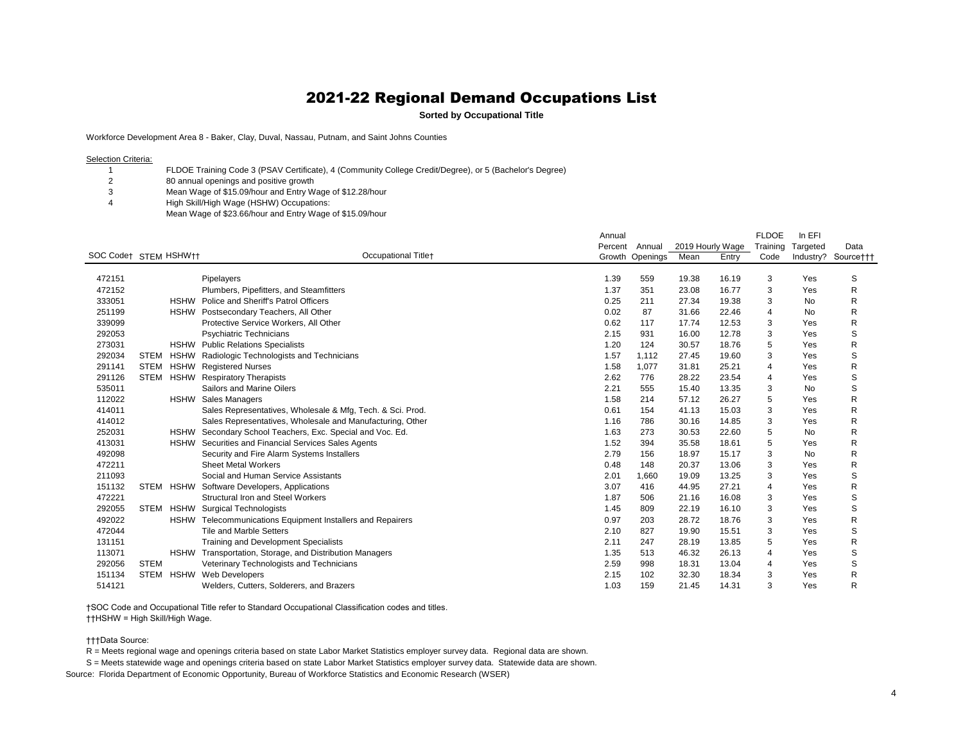**Sorted by Occupational Title**

Workforce Development Area 8 - Baker, Clay, Duval, Nassau, Putnam, and Saint Johns Counties

Selection Criteria:

 FLDOE Training Code 3 (PSAV Certificate), 4 (Community College Credit/Degree), or 5 (Bachelor's Degree)

80 annual openings and positive growth

- Mean Wage of \$15.09/hour and Entry Wage of \$12.28/hour
- High Skill/High Wage (HSHW) Occupations:
	- Mean Wage of \$23.66/hour and Entry Wage of \$15.09/hour

|                       |             |             |                                                            | Annual  |                 |       |                  | <b>FLDOE</b>   | In EFI    |                     |
|-----------------------|-------------|-------------|------------------------------------------------------------|---------|-----------------|-------|------------------|----------------|-----------|---------------------|
|                       |             |             |                                                            | Percent | Annual          |       | 2019 Hourly Wage | Training       | Targeted  | Data                |
| SOC Code† STEM HSHW†† |             |             | <b>Occupational Titlet</b>                                 |         | Growth Openings | Mean  | Entry            | Code           |           | Industry? Source††† |
|                       |             |             |                                                            |         |                 |       |                  |                |           |                     |
| 472151                |             |             | Pipelayers                                                 | 1.39    | 559             | 19.38 | 16.19            | 3              | Yes       | S                   |
| 472152                |             |             | Plumbers, Pipefitters, and Steamfitters                    | 1.37    | 351             | 23.08 | 16.77            | 3              | Yes       | R                   |
| 333051                |             |             | HSHW Police and Sheriff's Patrol Officers                  | 0.25    | 211             | 27.34 | 19.38            | 3              | <b>No</b> | R                   |
| 251199                |             |             | HSHW Postsecondary Teachers, All Other                     | 0.02    | 87              | 31.66 | 22.46            | 4              | No        | R                   |
| 339099                |             |             | Protective Service Workers, All Other                      | 0.62    | 117             | 17.74 | 12.53            | 3              | Yes       | R                   |
| 292053                |             |             | <b>Psychiatric Technicians</b>                             | 2.15    | 931             | 16.00 | 12.78            | 3              | Yes       | S                   |
| 273031                |             |             | <b>HSHW</b> Public Relations Specialists                   | 1.20    | 124             | 30.57 | 18.76            | 5              | Yes       | R                   |
| 292034                | <b>STEM</b> | HSHW        | Radiologic Technologists and Technicians                   | 1.57    | 1,112           | 27.45 | 19.60            | 3              | Yes       | S                   |
| 291141                |             | STEM HSHW   | <b>Registered Nurses</b>                                   | 1.58    | 1,077           | 31.81 | 25.21            | 4              | Yes       | R                   |
| 291126                | <b>STEM</b> |             | <b>HSHW</b> Respiratory Therapists                         | 2.62    | 776             | 28.22 | 23.54            | 4              | Yes       | S                   |
| 535011                |             |             | Sailors and Marine Oilers                                  | 2.21    | 555             | 15.40 | 13.35            | 3              | No        | S                   |
| 112022                |             |             | HSHW Sales Managers                                        | 1.58    | 214             | 57.12 | 26.27            | 5              | Yes       | R                   |
| 414011                |             |             | Sales Representatives, Wholesale & Mfg, Tech. & Sci. Prod. | 0.61    | 154             | 41.13 | 15.03            | 3              | Yes       | R                   |
| 414012                |             |             | Sales Representatives, Wholesale and Manufacturing, Other  | 1.16    | 786             | 30.16 | 14.85            | 3              | Yes       | R                   |
| 252031                |             | <b>HSHW</b> | Secondary School Teachers, Exc. Special and Voc. Ed.       | 1.63    | 273             | 30.53 | 22.60            | 5              | No        | R                   |
| 413031                |             | <b>HSHW</b> | Securities and Financial Services Sales Agents             | 1.52    | 394             | 35.58 | 18.61            | 5              | Yes       | R                   |
| 492098                |             |             | Security and Fire Alarm Systems Installers                 | 2.79    | 156             | 18.97 | 15.17            | 3              | <b>No</b> | R                   |
| 472211                |             |             | <b>Sheet Metal Workers</b>                                 | 0.48    | 148             | 20.37 | 13.06            | 3              | Yes       | R                   |
| 211093                |             |             | Social and Human Service Assistants                        | 2.01    | 1,660           | 19.09 | 13.25            | 3              | Yes       | S                   |
| 151132                |             | STEM HSHW   | Software Developers, Applications                          | 3.07    | 416             | 44.95 | 27.21            | $\overline{4}$ | Yes       | R                   |
| 472221                |             |             | Structural Iron and Steel Workers                          | 1.87    | 506             | 21.16 | 16.08            | 3              | Yes       | S                   |
| 292055                |             | STEM HSHW   | <b>Surgical Technologists</b>                              | 1.45    | 809             | 22.19 | 16.10            | 3              | Yes       | S                   |
| 492022                |             |             | HSHW Telecommunications Equipment Installers and Repairers | 0.97    | 203             | 28.72 | 18.76            | 3              | Yes       | R                   |
| 472044                |             |             | <b>Tile and Marble Setters</b>                             | 2.10    | 827             | 19.90 | 15.51            | 3              | Yes       | S                   |
| 131151                |             |             | <b>Training and Development Specialists</b>                | 2.11    | 247             | 28.19 | 13.85            | 5              | Yes       | R                   |
| 113071                |             |             | HSHW Transportation, Storage, and Distribution Managers    | 1.35    | 513             | 46.32 | 26.13            | 4              | Yes       | S                   |
| 292056                | <b>STEM</b> |             | Veterinary Technologists and Technicians                   | 2.59    | 998             | 18.31 | 13.04            | 4              | Yes       | S                   |
| 151134                | <b>STEM</b> | <b>HSHW</b> | <b>Web Developers</b>                                      | 2.15    | 102             | 32.30 | 18.34            | 3              | Yes       | R                   |
| 514121                |             |             | Welders, Cutters, Solderers, and Brazers                   | 1.03    | 159             | 21.45 | 14.31            |                | Yes       | R                   |

†SOC Code and Occupational Title refer to Standard Occupational Classification codes and titles. ††HSHW = High Skill/High Wage.

†††Data Source:

R = Meets regional wage and openings criteria based on state Labor Market Statistics employer survey data. Regional data are shown.

S = Meets statewide wage and openings criteria based on state Labor Market Statistics employer survey data. Statewide data are shown.